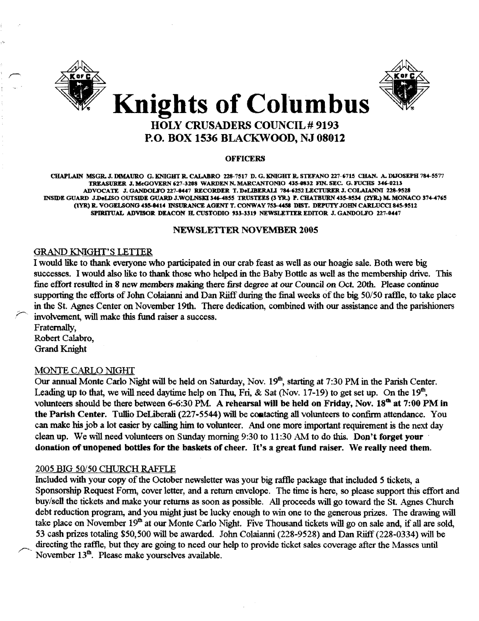



#### **OFFICERS**

CHAPLAIN MSGR. J. DIMAURO G. KNIGHT R. CALABRO 228-7517 D. G. KNIGHT R. STEFANO 227-6715 CHAN. A. DIJOSEPH 784-5577 TREASURER J. McGOVERN 627-3208 WARDEN N. MARCANTONIO 435-0832 FIN. SEC. G. FUCHS 346-0213 ADVOCATE J.GANDOLI'0227-8447 RECORDER T.DeLlBERALl784-6252LECTURERJ.COLAIANNI 228-9528 INSIDE GUARD J.DeLISO OUTSIDE GUARD J.WOLNSKI 346-4855 TRUSTEES (3 YR.) P. CHATBURN 435-8534 (2YR.) M. MONACO 374-4765 (1YR) R. VOGELSONG 435-8414 INSURANCE AGENT T. CONWAY 753-4458 DIST. DEPUTY JOHN CARLUCCI 845-9512 SPIRITUAL ADVISOR DEACON H. CUSTODIO 933-3319 NEWSLETTER EDITOR J. GANDOLFO 227-0447

### NEWSLETTER NOVEMBER 2005

# GRAND KNIGHf'S LETTER

I would like to thank everyone who participated in our crab feast as well as our hoagie sale. Both were big successes. I would also like to thank those who helped in the Baby Bottle as well as the membership drive. This fine effort resulted in 8 new members making there first degree at our Council on Oct. 20th. Please continue supporting the efforts of John Colaianni and Dan Riiff during the final weeks of the big 50/50 raffle, to take place in the St. Agnes Center on November 19th. There dedication, combined with our assistance and the parishioners involvement, will make this fund raiser a success.

Fraternally, Robert Calabro, Grand Knight

#### MONTE CARLO NIGHf

Our annual Monte Carlo Night will be held on Saturday, Nov. 19<sup>th</sup>, starting at 7:30 PM in the Parish Center. Leading up to that, we will need daytime help on Thu, Fri, & Sat (Nov. 17-19) to get set up. On the 19<sup>th</sup>, volunteers should be there between 6-6:30 PM. A rehearsal will be held on Friday, Nov.  $18^{th}$  at 7:00 PM in the Parish Center. Tullio DeLiberali (227-5544) will be contacting all volunteers to confirm attendance. You can make his job a lot easier by calling him to volunteer. And one more important requirement is the next day clean up. We will need volunteers on Sunday morning 9:30 to 11:30 AM to do this. Don't forget your donation of unopened bottles for the baskets of cheer. It's a great fund raiser. We really need them.

### 2005 BIG 50/50 CHURCH RAFFLE

Included with your copy of the October newsletter was your big raffle package that included 5 tickets, a Sponsorship Request Form, cover letter, and a return envelope. The time is here, so please support this effort and buy/sell the tickets and make your returns as soon as possible. All proceeds will go toward the St. Agnes Church debt reduction program, and you might just be lucky enough to win one to the generous prizes. The drawing will take place on November 19<sup>th</sup> at our Monte Carlo Night. Five Thousand tickets will go on sale and, if all are sold, 53 cash prizes totaling \$50,500 will be awarded. John Colaianni (228-9528) and Dan Riiff (228-0334) will be directing the raffle, but they are going to need our help to provide ticket sales coverage after the Masses until November 13<sup>th</sup>. Please make yourselves available.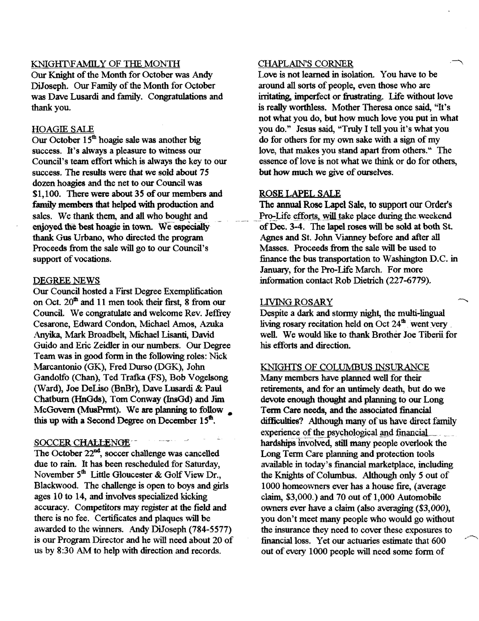# KNIGHT\FAMILY OF THE MONTH

Our Knight of the Month for October was Andy DiJoseph. Our Family of the Month for October was Dave Lusardi and family. Congratulations and thank you.

# HOAGIE SALE

Our October 15<sup>th</sup> hoagie sale was another big success. It's always a pleasure to witness our Council's team effort which is always the key to our success. The results were that we sold about 75 dozen hoagies and the net to our Council was \$1,100. There were about 35 of our members and family members that helped with production and sales. We thank them, and all who bought and enjoyed the best hoagie in town. We especially thank Gus Urbano, who directed the program Proceeds from the sale will go to our Council's support of vocations.

### DEGREE NEWS

Our Council hosted a First Degree Exemplification on Oct.  $20<sup>th</sup>$  and 11 men took their first, 8 from our Council. We congratulate and welcome Rev. Jeffrey Cesarone, Edward Condon, Michael Amos, Azuka .Anyika, Mark Broadbelt, Michael Lisanti, David Guido and Eric Zeidler in our nwnberg. Our Degree Team was in good fonn in the following roles: Nick Marcantonio (GK), Fred Durso (DGK), John Gandolfo (Chan), Ted Trafka (FS), Bob Vogelsong (Ward), Joe DeLiso (BnBr), Dave Lusardi & Paul Chatburn (HnGds), Tom Conway (InsGd) and Jim McGovern (MusPrmt). We are planning to follow this up with a Second Degree on December  $15<sup>th</sup>$ ,

# SOCCER CHALLENGE

The October  $22<sup>nd</sup>$ , soccer challenge was cancelled due to rain. It has been rescheduled for Saturday, November  $5<sup>th</sup>$  Little Gloucester & Golf View Dr., Blackwood. The challenge is open to boys and girls ages 10 to 14, and involves specialized kicking accuracy. Competitors may register at the field and there is no fee. Certificates and plaques will be awarded to the winners. Andy DiJoseph (784-5577) is our Program Director and he will need about 20 of us by 8:30 AM to help with direction and records.

# CHAPLAIN'S CORNER

Love is not learned in isolation. You have to be around all sorts of people, even those who are irritating, imperfect or frustrating. Life without love is really worthless. Mother Theresa once said, "It's not what you do, but how much love you put in what you do." Jesus said, "Truly I tell you it's what you do for others for my own sake with a sign of my love, that makes you stand apart from others." The essence of love is not what we think or do for others, but how much we give of ourselves.

# ROSE LAPEL SALE

The annual Rose Lapel Sale, to support our Order's Pro-Life efforts, will take place during the weekend ofDec. 3-4. The lapel roses will be sold at both St. Agnes and Sf. John Vianney before and after all Masses. Proceeds from the sale will be used to finance the bus transportation to Washington D.C. in January, for the Pro-Life March. For more infonnation contact Rob Dietrich (227-6779).

# LIVING ROSARY

Despite a dark and stormy night, the multi-lingual living rosary recitation held on Oct  $24<sup>th</sup>$  went very well. We would like to thank Brother Joe Tiberii for his efforts and direction.

# KNIGHTS OF COLUMBUS INSURANCE

Many members have planned well for their retirements, and for an untimely death, but do we devote enough thought and planning to our Long Term Care needs, and the associated financial difficulties? Although many of us have direct family experience of the psychological and financial<br>hardships involved, still many people overlook the Long Term Care planning and protection tools available in today's financial marketplace, including the Knights of Colwnbus. Although only 5 out of 1000 homeowners ever has a house fire, (average claim, \$3,000.) and 70 out of 1,000 Automobile owners ever have a claim (also averaging (\$3,000), you don't meet many people who would go without the insurance they need to cover these exposures to financial loss. Yet our actuaries estimate that 600 out of every 1000 people will need some fonn of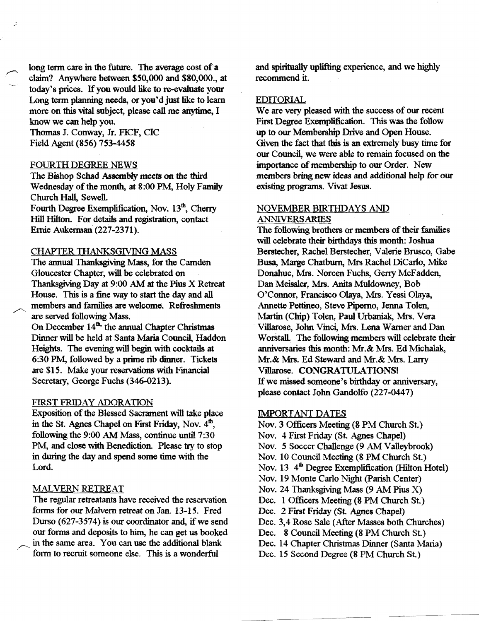long term care in the future. The average cost of a claim? Anywhere between \$50,000 and \$80,000., at today's prices. If you would like to re-evaluate your Long term planning needs, or you'd just like to learn more on this vital subject, please call me anytime, I know we can help you.

Thomas J. Conway, Jr. FICF, CIC Field Agent (856) 753-4458

# FOURTH DEGREE NEWS

The Bishop Schad Assembly meets on the third Wednesday of the month, at 8:00 PM, Holy Family Church Hall, Sewell.

Fourth Degree Exemplification, Nov.  $13<sup>th</sup>$ , Cherry Hill Hilton. For details and registration, contact Ernie Aukerman (227-2371).

# CHAPTER THANKSGIVING MASS

The annual Thanksgiving Mass, for the Camden Gloucester Chapter, wiI1 be celebrated on Thanksgiving Day at  $9:00$  AM at the Pius X Retreat House. This is a fine way to start the day and all members and families are welcome. Refreshments are served following Mass.

On December 14<sup>th,</sup> the annual Chapter Christmas Dinner wiI1 be held at Santa Maria Council, Haddon Heights. The evening wiI1 begin with cocktails at 6:30 PM, followed by a prime rib dinner. Tickets are \$15. Make your reservations with Financial Secretary, George Fuchs (346-0213).

## FIRST FRIDAY ADORATION

Exposition of the Blessed Sacrament will take place in the St. Agnes Chapel on First Friday, Nov.  $4<sup>th</sup>$ , following the 9:00 AM Mass, continue until 7:30 PM, and close with Benediction. Please try to stop in during the day and spend some time with the Lord.

# MALVERN RETREAT

The regular retreatants have received the reservation forms for our Malvern retreat on Jan. 13-15. Fred Durso  $(627-3574)$  is our coordinator and, if we send our forms and deposits to him, he can get us booked in the same area. You can use the additional blank fonn to recruit someone else. This is a wonderful

and spiritually uplifting experience, and we highly recommend it.

# EDITORIAL

We are very pleased with the success of our recent First Degree Exemplification. This was the follow up to our Membership Drive and Open House. Given the fact that this is an extremely busy time for our Council, we were able to remain focused on the importance of membership to our Order. New members bring new ideas and additional help for our existing programs. Vivat Jesus.

# NOVEMBER BIRTHDAYS AND ANNIVERSARIES

The following brothers or members of their families will celebrate their birthdays this month: Joshua Berstecher, Rachel Berstecher, Valerie Brusco, Gabe Busa, Marge Chatburn, Mrs Rachel DiCarlo, Mike Donahue, Mrs. Noreen Fuchs, Gerry McFadden, Dan Meissler, Mrs. Anita Muldowney, Bob O'Connor, Francisco Olaya, Mrs. Yessi Olaya, Annette Pettineo, Steve Piperno, Jenna Tolen, :Martin (Chip) Tolen, Paul Urbaniak, Mrs. Vera ViBarose, John Vinci, Mrs. Lena Warner and Dan Worstall. The following members will celebrate their anniversaries this month: Mf.& Mrs. Ed Michalak, Mr.& Mrs. Ed Steward and Mr.& Mrs. Larry Villarose. CONGRATULATIONS! If we missed someone's birthday or anniversary, please contact John Gandolfo (227-0447)

## IMPORTANT DATES

Nov. 3 Officers Meeting (8 PM Church St.) Nov. 4 First Friday (St. Agnes Chapel) Nov. 5 Soccer Challenge (9 AM Valleybrook) Nov. 10 Council Meeting (8 PM Church St.) Nov.  $13 \cdot 4^{\text{th}}$  Degree Exemplification (Hilton Hotel) Nov. 19 Monte Carlo Night (parish Center) Nov. 24 Thanksgiving Mass (9 AM Pius X) Dec. 1 Officers Meeting (8 PM Church St.) Dec. 2 First Friday (St. Agnes Chapel) Dec. 3,4 Rose Sale (After Masses both Churches) Dec. 8 Council Meeting (8 PM Church St.) Dec. 14 Chapter Christmas Dinner (Santa Maria) Dec. 15 Second Degree (8 PM Church St.)